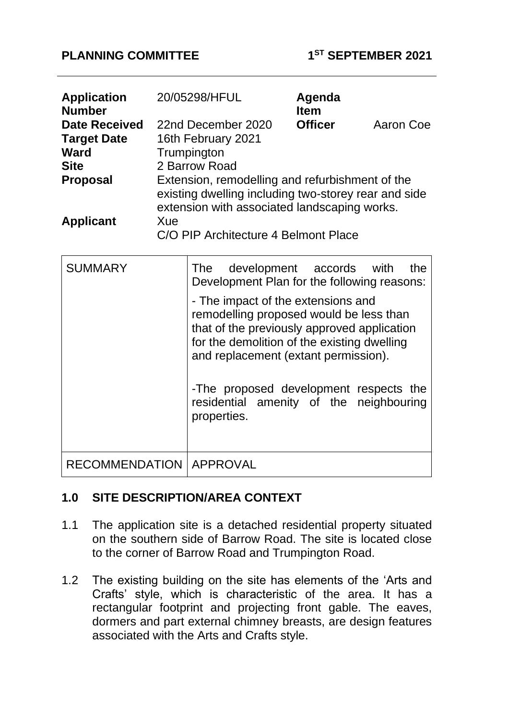#### **PLANNING COMMITTEE 1**

| <b>Application</b><br><b>Number</b> | 20/05298/HFUL                                                                                                                                           | Agenda<br><b>Item</b> |           |
|-------------------------------------|---------------------------------------------------------------------------------------------------------------------------------------------------------|-----------------------|-----------|
| <b>Date Received</b>                | 22nd December 2020                                                                                                                                      | <b>Officer</b>        | Aaron Coe |
| <b>Target Date</b>                  | 16th February 2021                                                                                                                                      |                       |           |
| <b>Ward</b>                         | Trumpington                                                                                                                                             |                       |           |
| <b>Site</b>                         | 2 Barrow Road                                                                                                                                           |                       |           |
| <b>Proposal</b>                     | Extension, remodelling and refurbishment of the<br>existing dwelling including two-storey rear and side<br>extension with associated landscaping works. |                       |           |
| <b>Applicant</b>                    | Xue                                                                                                                                                     |                       |           |
|                                     | C/O PIP Architecture 4 Belmont Place                                                                                                                    |                       |           |

| <b>SUMMARY</b>                   | The development accords with<br>the<br>Development Plan for the following reasons:                                                                                                                                                                                                                                      |
|----------------------------------|-------------------------------------------------------------------------------------------------------------------------------------------------------------------------------------------------------------------------------------------------------------------------------------------------------------------------|
|                                  | - The impact of the extensions and<br>remodelling proposed would be less than<br>that of the previously approved application<br>for the demolition of the existing dwelling<br>and replacement (extant permission).<br>-The proposed development respects the<br>residential amenity of the neighbouring<br>properties. |
| <b>RECOMMENDATION   APPROVAL</b> |                                                                                                                                                                                                                                                                                                                         |

## **1.0 SITE DESCRIPTION/AREA CONTEXT**

- 1.1 The application site is a detached residential property situated on the southern side of Barrow Road. The site is located close to the corner of Barrow Road and Trumpington Road.
- 1.2 The existing building on the site has elements of the 'Arts and Crafts' style, which is characteristic of the area. It has a rectangular footprint and projecting front gable. The eaves, dormers and part external chimney breasts, are design features associated with the Arts and Crafts style.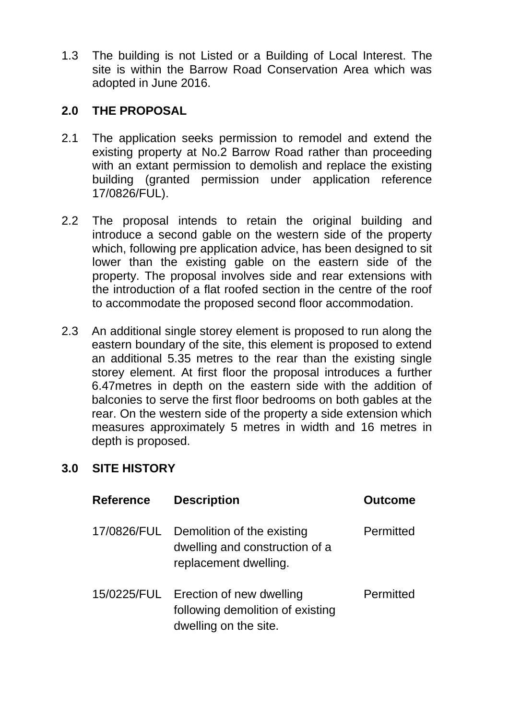1.3 The building is not Listed or a Building of Local Interest. The site is within the Barrow Road Conservation Area which was adopted in June 2016.

## **2.0 THE PROPOSAL**

- 2.1 The application seeks permission to remodel and extend the existing property at No.2 Barrow Road rather than proceeding with an extant permission to demolish and replace the existing building (granted permission under application reference 17/0826/FUL).
- 2.2 The proposal intends to retain the original building and introduce a second gable on the western side of the property which, following pre application advice, has been designed to sit lower than the existing gable on the eastern side of the property. The proposal involves side and rear extensions with the introduction of a flat roofed section in the centre of the roof to accommodate the proposed second floor accommodation.
- 2.3 An additional single storey element is proposed to run along the eastern boundary of the site, this element is proposed to extend an additional 5.35 metres to the rear than the existing single storey element. At first floor the proposal introduces a further 6.47metres in depth on the eastern side with the addition of balconies to serve the first floor bedrooms on both gables at the rear. On the western side of the property a side extension which measures approximately 5 metres in width and 16 metres in depth is proposed.

## **3.0 SITE HISTORY**

| <b>Reference</b> | <b>Description</b>                                                                    | <b>Outcome</b> |
|------------------|---------------------------------------------------------------------------------------|----------------|
| 17/0826/FUL      | Demolition of the existing<br>dwelling and construction of a<br>replacement dwelling. | Permitted      |
| 15/0225/FUL      | Erection of new dwelling<br>following demolition of existing<br>dwelling on the site. | Permitted      |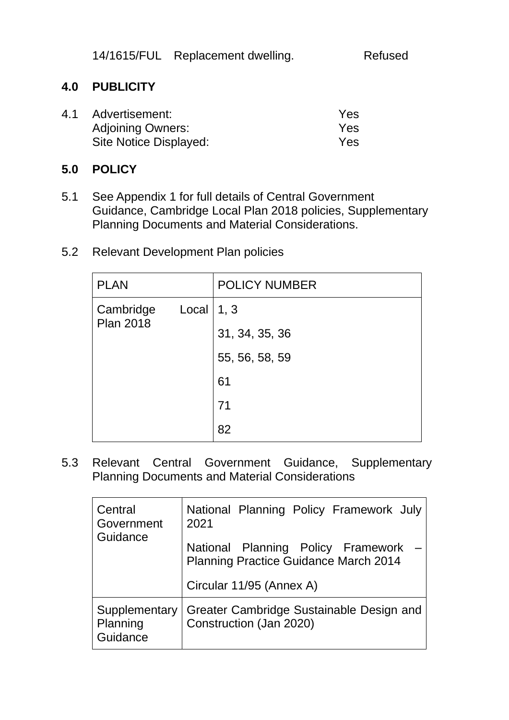14/1615/FUL Replacement dwelling. Refused

## **4.0 PUBLICITY**

| 4.1 | Advertisement:           | Yes |
|-----|--------------------------|-----|
|     | <b>Adjoining Owners:</b> | Yes |
|     | Site Notice Displayed:   | Yes |

#### **5.0 POLICY**

- 5.1 See Appendix 1 for full details of Central Government Guidance, Cambridge Local Plan 2018 policies, Supplementary Planning Documents and Material Considerations.
- 5.2 Relevant Development Plan policies

| <b>PLAN</b>      |       | <b>POLICY NUMBER</b> |
|------------------|-------|----------------------|
| Cambridge        | Local | 1, 3                 |
| <b>Plan 2018</b> |       | 31, 34, 35, 36       |
|                  |       | 55, 56, 58, 59       |
|                  |       | 61                   |
|                  |       | 71                   |
|                  |       | 82                   |

5.3 Relevant Central Government Guidance, Supplementary Planning Documents and Material Considerations

| Central<br>Government<br>Guidance     | National Planning Policy Framework July<br>2021<br>National Planning Policy Framework<br><b>Planning Practice Guidance March 2014</b> |  |
|---------------------------------------|---------------------------------------------------------------------------------------------------------------------------------------|--|
|                                       | Circular 11/95 (Annex A)                                                                                                              |  |
| Supplementary<br>Planning<br>Guidance | Greater Cambridge Sustainable Design and<br>Construction (Jan 2020)                                                                   |  |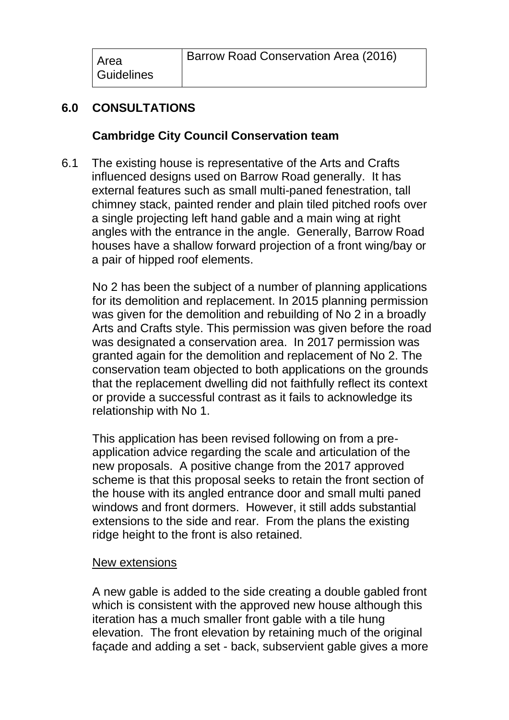| Area<br><b>Guidelines</b> | Barrow Road Conservation Area (2016) |
|---------------------------|--------------------------------------|
|---------------------------|--------------------------------------|

# **6.0 CONSULTATIONS**

#### **Cambridge City Council Conservation team**

6.1 The existing house is representative of the Arts and Crafts influenced designs used on Barrow Road generally. It has external features such as small multi-paned fenestration, tall chimney stack, painted render and plain tiled pitched roofs over a single projecting left hand gable and a main wing at right angles with the entrance in the angle. Generally, Barrow Road houses have a shallow forward projection of a front wing/bay or a pair of hipped roof elements.

No 2 has been the subject of a number of planning applications for its demolition and replacement. In 2015 planning permission was given for the demolition and rebuilding of No 2 in a broadly Arts and Crafts style. This permission was given before the road was designated a conservation area. In 2017 permission was granted again for the demolition and replacement of No 2. The conservation team objected to both applications on the grounds that the replacement dwelling did not faithfully reflect its context or provide a successful contrast as it fails to acknowledge its relationship with No 1.

This application has been revised following on from a preapplication advice regarding the scale and articulation of the new proposals. A positive change from the 2017 approved scheme is that this proposal seeks to retain the front section of the house with its angled entrance door and small multi paned windows and front dormers. However, it still adds substantial extensions to the side and rear. From the plans the existing ridge height to the front is also retained.

#### New extensions

A new gable is added to the side creating a double gabled front which is consistent with the approved new house although this iteration has a much smaller front gable with a tile hung elevation. The front elevation by retaining much of the original façade and adding a set - back, subservient gable gives a more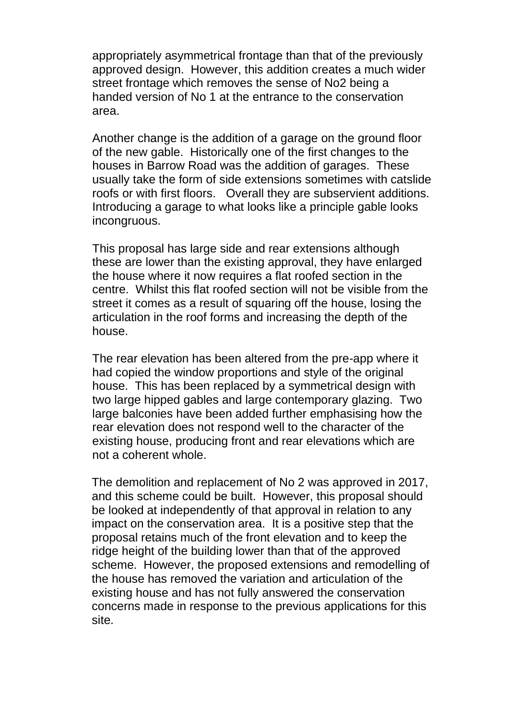appropriately asymmetrical frontage than that of the previously approved design. However, this addition creates a much wider street frontage which removes the sense of No2 being a handed version of No 1 at the entrance to the conservation area.

Another change is the addition of a garage on the ground floor of the new gable. Historically one of the first changes to the houses in Barrow Road was the addition of garages. These usually take the form of side extensions sometimes with catslide roofs or with first floors. Overall they are subservient additions. Introducing a garage to what looks like a principle gable looks incongruous.

This proposal has large side and rear extensions although these are lower than the existing approval, they have enlarged the house where it now requires a flat roofed section in the centre. Whilst this flat roofed section will not be visible from the street it comes as a result of squaring off the house, losing the articulation in the roof forms and increasing the depth of the house.

The rear elevation has been altered from the pre-app where it had copied the window proportions and style of the original house. This has been replaced by a symmetrical design with two large hipped gables and large contemporary glazing. Two large balconies have been added further emphasising how the rear elevation does not respond well to the character of the existing house, producing front and rear elevations which are not a coherent whole.

The demolition and replacement of No 2 was approved in 2017, and this scheme could be built. However, this proposal should be looked at independently of that approval in relation to any impact on the conservation area. It is a positive step that the proposal retains much of the front elevation and to keep the ridge height of the building lower than that of the approved scheme. However, the proposed extensions and remodelling of the house has removed the variation and articulation of the existing house and has not fully answered the conservation concerns made in response to the previous applications for this site.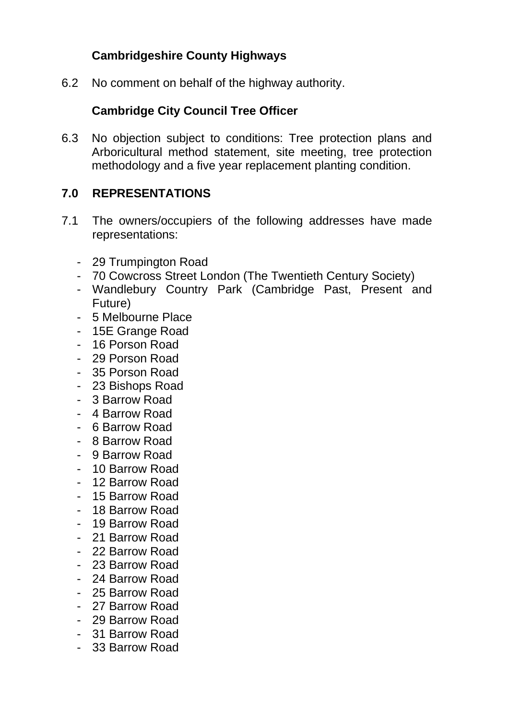# **Cambridgeshire County Highways**

6.2 No comment on behalf of the highway authority.

## **Cambridge City Council Tree Officer**

6.3 No objection subject to conditions: Tree protection plans and Arboricultural method statement, site meeting, tree protection methodology and a five year replacement planting condition.

## **7.0 REPRESENTATIONS**

- 7.1 The owners/occupiers of the following addresses have made representations:
	- 29 Trumpington Road
	- 70 Cowcross Street London (The Twentieth Century Society)
	- Wandlebury Country Park (Cambridge Past, Present and Future)
	- 5 Melbourne Place
	- 15E Grange Road
	- 16 Porson Road
	- 29 Porson Road
	- 35 Porson Road
	- 23 Bishops Road
	- 3 Barrow Road
	- 4 Barrow Road
	- 6 Barrow Road
	- 8 Barrow Road
	- 9 Barrow Road
	- 10 Barrow Road
	- 12 Barrow Road
	- 15 Barrow Road
	- 18 Barrow Road
	- 19 Barrow Road
	- 21 Barrow Road
	- 22 Barrow Road
	- 23 Barrow Road
	- 24 Barrow Road
	- 25 Barrow Road
	- 27 Barrow Road
	- 29 Barrow Road
	- 31 Barrow Road
	- 33 Barrow Road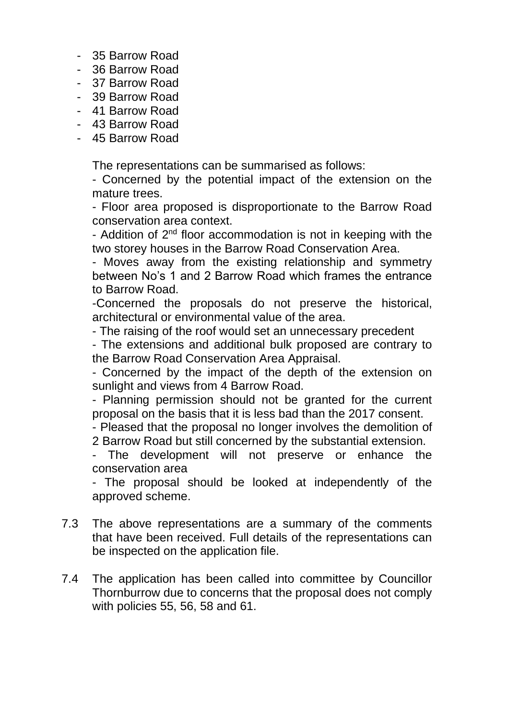- 35 Barrow Road
- 36 Barrow Road
- 37 Barrow Road
- 39 Barrow Road
- 41 Barrow Road
- 43 Barrow Road
- 45 Barrow Road

The representations can be summarised as follows:

- Concerned by the potential impact of the extension on the mature trees.

- Floor area proposed is disproportionate to the Barrow Road conservation area context.

- Addition of 2<sup>nd</sup> floor accommodation is not in keeping with the two storey houses in the Barrow Road Conservation Area.

- Moves away from the existing relationship and symmetry between No's 1 and 2 Barrow Road which frames the entrance to Barrow Road.

-Concerned the proposals do not preserve the historical, architectural or environmental value of the area.

- The raising of the roof would set an unnecessary precedent

- The extensions and additional bulk proposed are contrary to the Barrow Road Conservation Area Appraisal.

- Concerned by the impact of the depth of the extension on sunlight and views from 4 Barrow Road.

- Planning permission should not be granted for the current proposal on the basis that it is less bad than the 2017 consent.

- Pleased that the proposal no longer involves the demolition of 2 Barrow Road but still concerned by the substantial extension.

- The development will not preserve or enhance the conservation area

- The proposal should be looked at independently of the approved scheme.

- 7.3 The above representations are a summary of the comments that have been received. Full details of the representations can be inspected on the application file.
- 7.4 The application has been called into committee by Councillor Thornburrow due to concerns that the proposal does not comply with policies 55, 56, 58 and 61.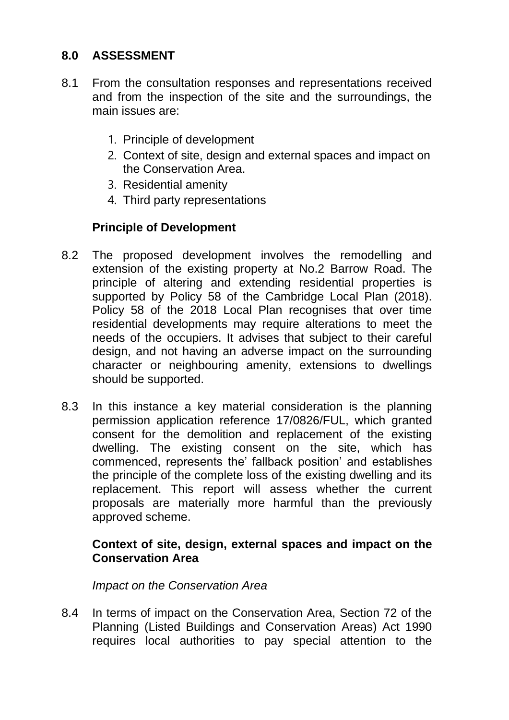# **8.0 ASSESSMENT**

- 8.1 From the consultation responses and representations received and from the inspection of the site and the surroundings, the main issues are:
	- 1. Principle of development
	- 2. Context of site, design and external spaces and impact on the Conservation Area.
	- 3. Residential amenity
	- 4. Third party representations

# **Principle of Development**

- 8.2 The proposed development involves the remodelling and extension of the existing property at No.2 Barrow Road. The principle of altering and extending residential properties is supported by Policy 58 of the Cambridge Local Plan (2018). Policy 58 of the 2018 Local Plan recognises that over time residential developments may require alterations to meet the needs of the occupiers. It advises that subject to their careful design, and not having an adverse impact on the surrounding character or neighbouring amenity, extensions to dwellings should be supported.
- 8.3 In this instance a key material consideration is the planning permission application reference 17/0826/FUL, which granted consent for the demolition and replacement of the existing dwelling. The existing consent on the site, which has commenced, represents the' fallback position' and establishes the principle of the complete loss of the existing dwelling and its replacement. This report will assess whether the current proposals are materially more harmful than the previously approved scheme.

## **Context of site, design, external spaces and impact on the Conservation Area**

#### *Impact on the Conservation Area*

8.4 In terms of impact on the Conservation Area, Section 72 of the Planning (Listed Buildings and Conservation Areas) Act 1990 requires local authorities to pay special attention to the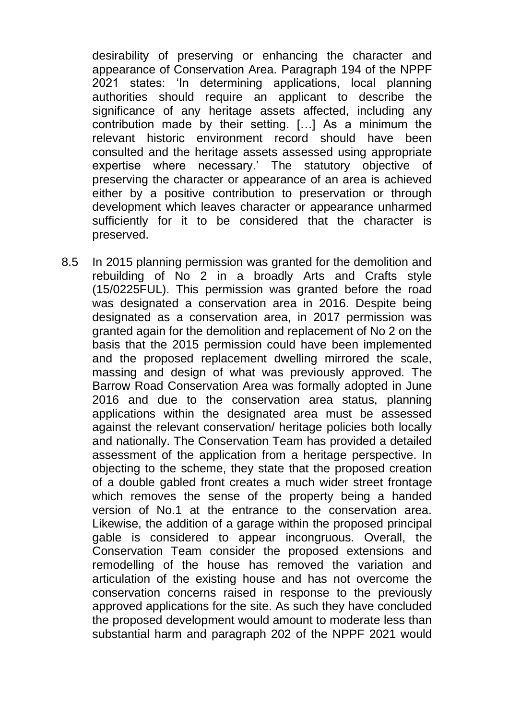desirability of preserving or enhancing the character and appearance of Conservation Area. Paragraph 194 of the NPPF 2021 states: 'In determining applications, local planning authorities should require an applicant to describe the significance of any heritage assets affected, including any contribution made by their setting. […] As a minimum the relevant historic environment record should have been consulted and the heritage assets assessed using appropriate expertise where necessary.' The statutory objective of preserving the character or appearance of an area is achieved either by a positive contribution to preservation or through development which leaves character or appearance unharmed sufficiently for it to be considered that the character is preserved.

8.5 In 2015 planning permission was granted for the demolition and rebuilding of No 2 in a broadly Arts and Crafts style (15/0225FUL). This permission was granted before the road was designated a conservation area in 2016. Despite being designated as a conservation area, in 2017 permission was granted again for the demolition and replacement of No 2 on the basis that the 2015 permission could have been implemented and the proposed replacement dwelling mirrored the scale, massing and design of what was previously approved. The Barrow Road Conservation Area was formally adopted in June 2016 and due to the conservation area status, planning applications within the designated area must be assessed against the relevant conservation/ heritage policies both locally and nationally. The Conservation Team has provided a detailed assessment of the application from a heritage perspective. In objecting to the scheme, they state that the proposed creation of a double gabled front creates a much wider street frontage which removes the sense of the property being a handed version of No.1 at the entrance to the conservation area. Likewise, the addition of a garage within the proposed principal gable is considered to appear incongruous. Overall, the Conservation Team consider the proposed extensions and remodelling of the house has removed the variation and articulation of the existing house and has not overcome the conservation concerns raised in response to the previously approved applications for the site. As such they have concluded the proposed development would amount to moderate less than substantial harm and paragraph 202 of the NPPF 2021 would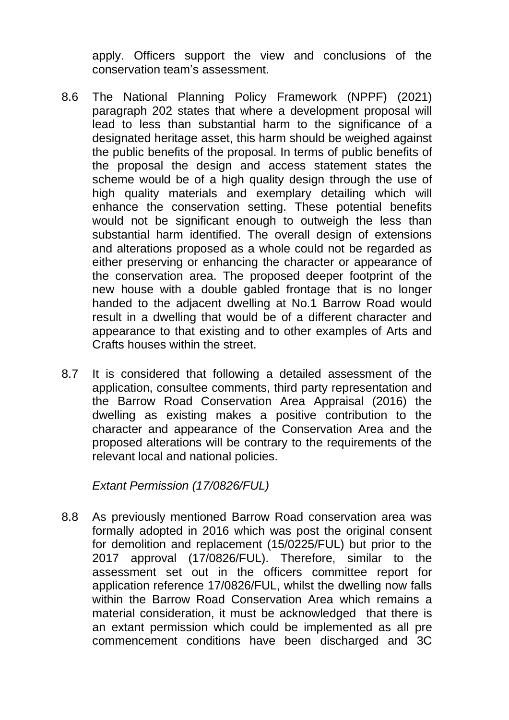apply. Officers support the view and conclusions of the conservation team's assessment.

- 8.6 The National Planning Policy Framework (NPPF) (2021) paragraph 202 states that where a development proposal will lead to less than substantial harm to the significance of a designated heritage asset, this harm should be weighed against the public benefits of the proposal. In terms of public benefits of the proposal the design and access statement states the scheme would be of a high quality design through the use of high quality materials and exemplary detailing which will enhance the conservation setting. These potential benefits would not be significant enough to outweigh the less than substantial harm identified. The overall design of extensions and alterations proposed as a whole could not be regarded as either preserving or enhancing the character or appearance of the conservation area. The proposed deeper footprint of the new house with a double gabled frontage that is no longer handed to the adjacent dwelling at No.1 Barrow Road would result in a dwelling that would be of a different character and appearance to that existing and to other examples of Arts and Crafts houses within the street.
- 8.7 It is considered that following a detailed assessment of the application, consultee comments, third party representation and the Barrow Road Conservation Area Appraisal (2016) the dwelling as existing makes a positive contribution to the character and appearance of the Conservation Area and the proposed alterations will be contrary to the requirements of the relevant local and national policies.

*Extant Permission (17/0826/FUL)*

8.8 As previously mentioned Barrow Road conservation area was formally adopted in 2016 which was post the original consent for demolition and replacement (15/0225/FUL) but prior to the 2017 approval (17/0826/FUL). Therefore, similar to the assessment set out in the officers committee report for application reference 17/0826/FUL, whilst the dwelling now falls within the Barrow Road Conservation Area which remains a material consideration, it must be acknowledged that there is an extant permission which could be implemented as all pre commencement conditions have been discharged and 3C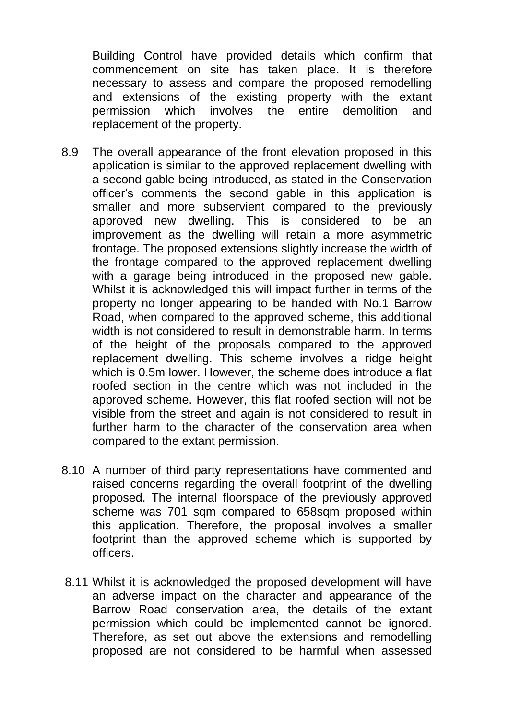Building Control have provided details which confirm that commencement on site has taken place. It is therefore necessary to assess and compare the proposed remodelling and extensions of the existing property with the extant permission which involves the entire demolition and replacement of the property.

- 8.9 The overall appearance of the front elevation proposed in this application is similar to the approved replacement dwelling with a second gable being introduced, as stated in the Conservation officer's comments the second gable in this application is smaller and more subservient compared to the previously approved new dwelling. This is considered to be an improvement as the dwelling will retain a more asymmetric frontage. The proposed extensions slightly increase the width of the frontage compared to the approved replacement dwelling with a garage being introduced in the proposed new gable. Whilst it is acknowledged this will impact further in terms of the property no longer appearing to be handed with No.1 Barrow Road, when compared to the approved scheme, this additional width is not considered to result in demonstrable harm. In terms of the height of the proposals compared to the approved replacement dwelling. This scheme involves a ridge height which is 0.5m lower. However, the scheme does introduce a flat roofed section in the centre which was not included in the approved scheme. However, this flat roofed section will not be visible from the street and again is not considered to result in further harm to the character of the conservation area when compared to the extant permission.
- 8.10 A number of third party representations have commented and raised concerns regarding the overall footprint of the dwelling proposed. The internal floorspace of the previously approved scheme was 701 sqm compared to 658sqm proposed within this application. Therefore, the proposal involves a smaller footprint than the approved scheme which is supported by officers.
- 8.11 Whilst it is acknowledged the proposed development will have an adverse impact on the character and appearance of the Barrow Road conservation area, the details of the extant permission which could be implemented cannot be ignored. Therefore, as set out above the extensions and remodelling proposed are not considered to be harmful when assessed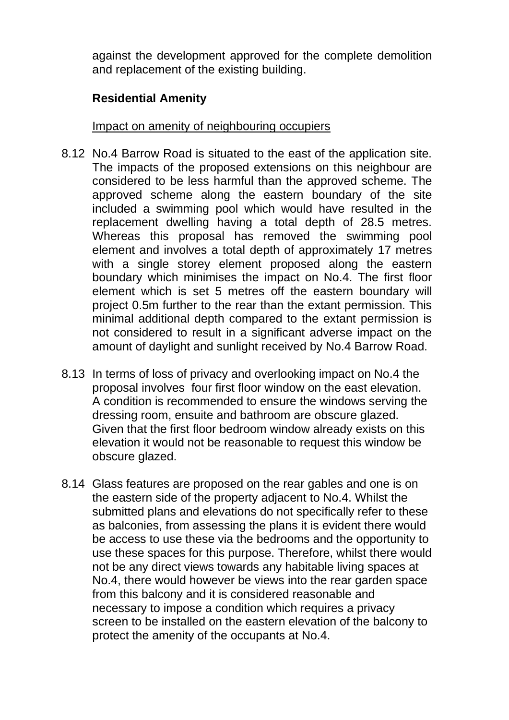against the development approved for the complete demolition and replacement of the existing building.

## **Residential Amenity**

Impact on amenity of neighbouring occupiers

- 8.12 No.4 Barrow Road is situated to the east of the application site. The impacts of the proposed extensions on this neighbour are considered to be less harmful than the approved scheme. The approved scheme along the eastern boundary of the site included a swimming pool which would have resulted in the replacement dwelling having a total depth of 28.5 metres. Whereas this proposal has removed the swimming pool element and involves a total depth of approximately 17 metres with a single storey element proposed along the eastern boundary which minimises the impact on No.4. The first floor element which is set 5 metres off the eastern boundary will project 0.5m further to the rear than the extant permission. This minimal additional depth compared to the extant permission is not considered to result in a significant adverse impact on the amount of daylight and sunlight received by No.4 Barrow Road.
- 8.13 In terms of loss of privacy and overlooking impact on No.4 the proposal involves four first floor window on the east elevation. A condition is recommended to ensure the windows serving the dressing room, ensuite and bathroom are obscure glazed. Given that the first floor bedroom window already exists on this elevation it would not be reasonable to request this window be obscure glazed.
- 8.14 Glass features are proposed on the rear gables and one is on the eastern side of the property adjacent to No.4. Whilst the submitted plans and elevations do not specifically refer to these as balconies, from assessing the plans it is evident there would be access to use these via the bedrooms and the opportunity to use these spaces for this purpose. Therefore, whilst there would not be any direct views towards any habitable living spaces at No.4, there would however be views into the rear garden space from this balcony and it is considered reasonable and necessary to impose a condition which requires a privacy screen to be installed on the eastern elevation of the balcony to protect the amenity of the occupants at No.4.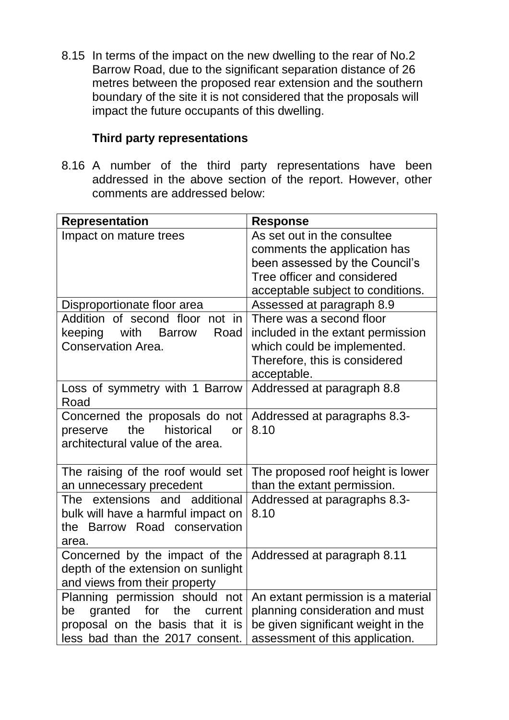8.15 In terms of the impact on the new dwelling to the rear of No.2 Barrow Road, due to the significant separation distance of 26 metres between the proposed rear extension and the southern boundary of the site it is not considered that the proposals will impact the future occupants of this dwelling.

#### **Third party representations**

8.16 A number of the third party representations have been addressed in the above section of the report. However, other comments are addressed below:

| Representation                                                                                                | <b>Response</b>                                                                                          |
|---------------------------------------------------------------------------------------------------------------|----------------------------------------------------------------------------------------------------------|
| Impact on mature trees                                                                                        | As set out in the consultee                                                                              |
|                                                                                                               | comments the application has                                                                             |
|                                                                                                               | been assessed by the Council's                                                                           |
|                                                                                                               | Tree officer and considered                                                                              |
|                                                                                                               | acceptable subject to conditions.                                                                        |
| Disproportionate floor area                                                                                   | Assessed at paragraph 8.9                                                                                |
| Addition of second floor<br>not in                                                                            | There was a second floor                                                                                 |
| Road<br>keeping<br>with<br><b>Barrow</b>                                                                      | included in the extant permission                                                                        |
| <b>Conservation Area.</b>                                                                                     | which could be implemented.                                                                              |
|                                                                                                               | Therefore, this is considered                                                                            |
|                                                                                                               | acceptable.                                                                                              |
| Loss of symmetry with 1 Barrow                                                                                | Addressed at paragraph 8.8                                                                               |
| Road                                                                                                          |                                                                                                          |
| Concerned the proposals do not                                                                                | Addressed at paragraphs 8.3-                                                                             |
| historical<br>the<br>preserve<br><b>or</b>                                                                    | 8.10                                                                                                     |
| architectural value of the area.                                                                              |                                                                                                          |
|                                                                                                               |                                                                                                          |
| The raising of the roof would set                                                                             | The proposed roof height is lower                                                                        |
| an unnecessary precedent<br>additional<br>extensions and<br>The                                               | than the extant permission.                                                                              |
| bulk will have a harmful impact on                                                                            | Addressed at paragraphs 8.3-<br>8.10                                                                     |
| Road conservation<br>Barrow<br>the                                                                            |                                                                                                          |
| area.                                                                                                         |                                                                                                          |
| Concerned by the impact of the                                                                                | Addressed at paragraph 8.11                                                                              |
| depth of the extension on sunlight                                                                            |                                                                                                          |
| and views from their property                                                                                 |                                                                                                          |
| Planning permission should not                                                                                | An extant permission is a material                                                                       |
|                                                                                                               |                                                                                                          |
|                                                                                                               |                                                                                                          |
|                                                                                                               |                                                                                                          |
| granted<br>for<br>the<br>current<br>be<br>proposal on the basis that it is<br>less bad than the 2017 consent. | planning consideration and must<br>be given significant weight in the<br>assessment of this application. |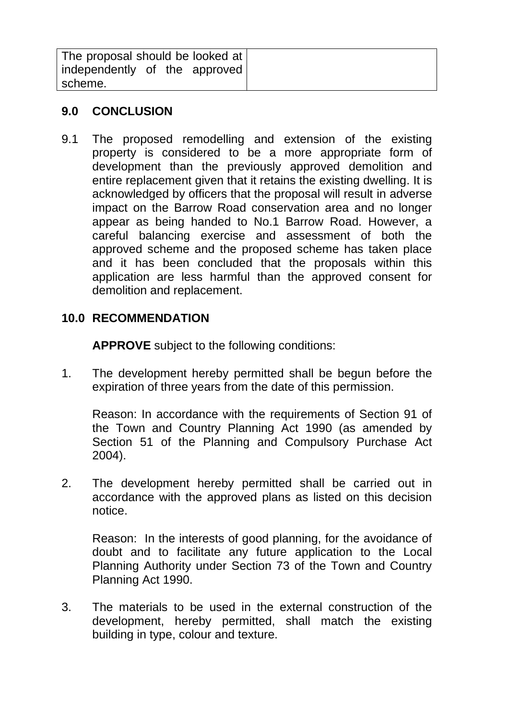| The proposal should be looked at |  |
|----------------------------------|--|
| independently of the approved    |  |
| scheme.                          |  |

#### **9.0 CONCLUSION**

9.1 The proposed remodelling and extension of the existing property is considered to be a more appropriate form of development than the previously approved demolition and entire replacement given that it retains the existing dwelling. It is acknowledged by officers that the proposal will result in adverse impact on the Barrow Road conservation area and no longer appear as being handed to No.1 Barrow Road. However, a careful balancing exercise and assessment of both the approved scheme and the proposed scheme has taken place and it has been concluded that the proposals within this application are less harmful than the approved consent for demolition and replacement.

#### **10.0 RECOMMENDATION**

**APPROVE** subject to the following conditions:

1. The development hereby permitted shall be begun before the expiration of three years from the date of this permission.

Reason: In accordance with the requirements of Section 91 of the Town and Country Planning Act 1990 (as amended by Section 51 of the Planning and Compulsory Purchase Act 2004).

2. The development hereby permitted shall be carried out in accordance with the approved plans as listed on this decision notice.

Reason: In the interests of good planning, for the avoidance of doubt and to facilitate any future application to the Local Planning Authority under Section 73 of the Town and Country Planning Act 1990.

3. The materials to be used in the external construction of the development, hereby permitted, shall match the existing building in type, colour and texture.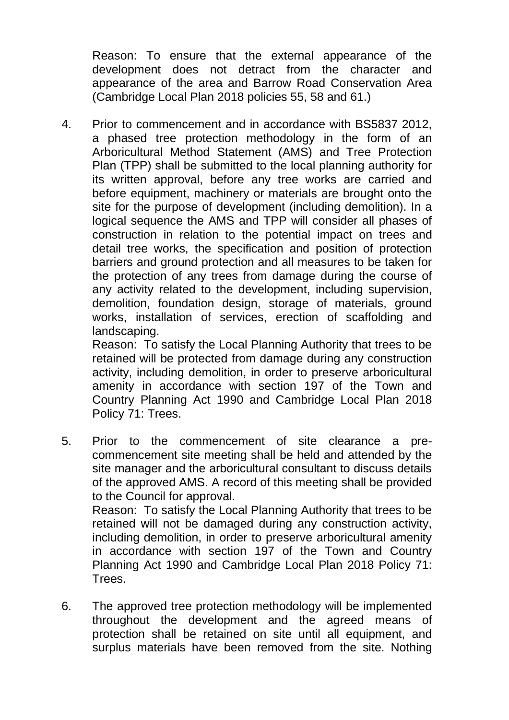Reason: To ensure that the external appearance of the development does not detract from the character and appearance of the area and Barrow Road Conservation Area (Cambridge Local Plan 2018 policies 55, 58 and 61.)

4. Prior to commencement and in accordance with BS5837 2012, a phased tree protection methodology in the form of an Arboricultural Method Statement (AMS) and Tree Protection Plan (TPP) shall be submitted to the local planning authority for its written approval, before any tree works are carried and before equipment, machinery or materials are brought onto the site for the purpose of development (including demolition). In a logical sequence the AMS and TPP will consider all phases of construction in relation to the potential impact on trees and detail tree works, the specification and position of protection barriers and ground protection and all measures to be taken for the protection of any trees from damage during the course of any activity related to the development, including supervision, demolition, foundation design, storage of materials, ground works, installation of services, erection of scaffolding and landscaping.

Reason: To satisfy the Local Planning Authority that trees to be retained will be protected from damage during any construction activity, including demolition, in order to preserve arboricultural amenity in accordance with section 197 of the Town and Country Planning Act 1990 and Cambridge Local Plan 2018 Policy 71: Trees.

5. Prior to the commencement of site clearance a precommencement site meeting shall be held and attended by the site manager and the arboricultural consultant to discuss details of the approved AMS. A record of this meeting shall be provided to the Council for approval. Reason: To satisfy the Local Planning Authority that trees to be

retained will not be damaged during any construction activity, including demolition, in order to preserve arboricultural amenity in accordance with section 197 of the Town and Country Planning Act 1990 and Cambridge Local Plan 2018 Policy 71: Trees.

6. The approved tree protection methodology will be implemented throughout the development and the agreed means of protection shall be retained on site until all equipment, and surplus materials have been removed from the site. Nothing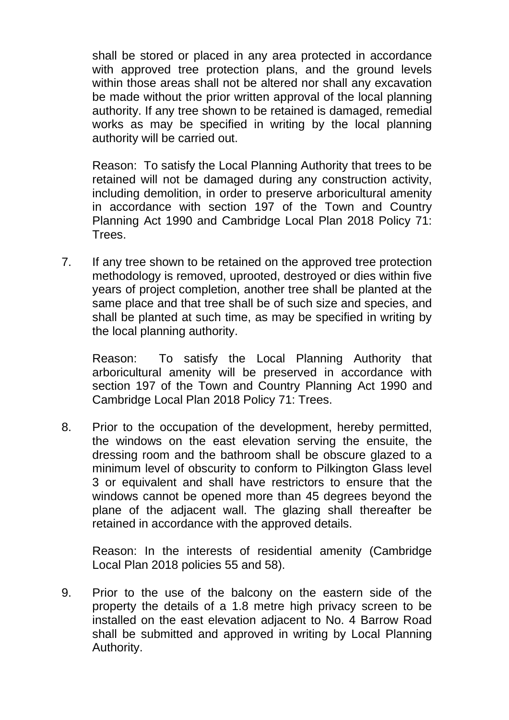shall be stored or placed in any area protected in accordance with approved tree protection plans, and the ground levels within those areas shall not be altered nor shall any excavation be made without the prior written approval of the local planning authority. If any tree shown to be retained is damaged, remedial works as may be specified in writing by the local planning authority will be carried out.

Reason: To satisfy the Local Planning Authority that trees to be retained will not be damaged during any construction activity, including demolition, in order to preserve arboricultural amenity in accordance with section 197 of the Town and Country Planning Act 1990 and Cambridge Local Plan 2018 Policy 71: Trees.

7. If any tree shown to be retained on the approved tree protection methodology is removed, uprooted, destroyed or dies within five years of project completion, another tree shall be planted at the same place and that tree shall be of such size and species, and shall be planted at such time, as may be specified in writing by the local planning authority.

Reason: To satisfy the Local Planning Authority that arboricultural amenity will be preserved in accordance with section 197 of the Town and Country Planning Act 1990 and Cambridge Local Plan 2018 Policy 71: Trees.

8. Prior to the occupation of the development, hereby permitted, the windows on the east elevation serving the ensuite, the dressing room and the bathroom shall be obscure glazed to a minimum level of obscurity to conform to Pilkington Glass level 3 or equivalent and shall have restrictors to ensure that the windows cannot be opened more than 45 degrees beyond the plane of the adjacent wall. The glazing shall thereafter be retained in accordance with the approved details.

Reason: In the interests of residential amenity (Cambridge Local Plan 2018 policies 55 and 58).

9. Prior to the use of the balcony on the eastern side of the property the details of a 1.8 metre high privacy screen to be installed on the east elevation adjacent to No. 4 Barrow Road shall be submitted and approved in writing by Local Planning Authority.